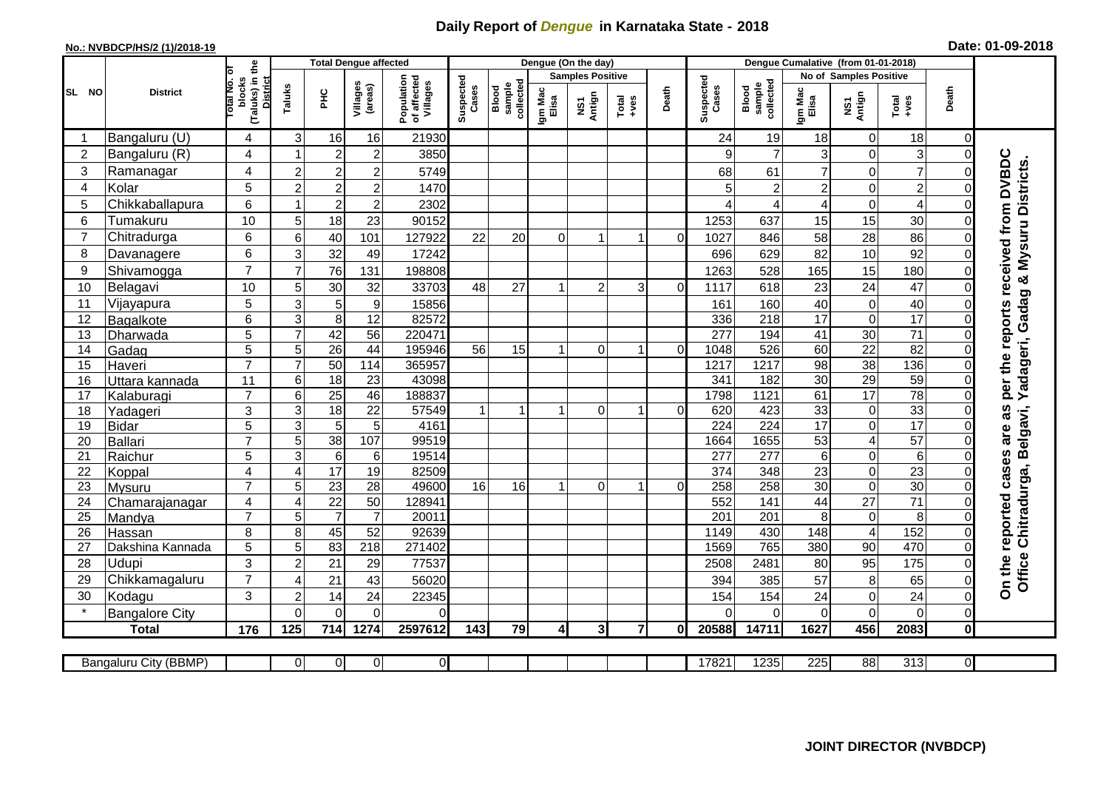## **Daily Report of** *Dengue* **in Karnataka State - 2018**

## **No.: NVBDCP/HS/2 (1)/2018-19 Date: 01-09-2018**

|                 | <b>District</b>              |                                                              | <b>Total Dengue affected</b> |                       |                       |                                       |                    |                              | Dengue (On the day)     |                |                  |          |                    |                              |                        |                             |                 |                |                                                                            |
|-----------------|------------------------------|--------------------------------------------------------------|------------------------------|-----------------------|-----------------------|---------------------------------------|--------------------|------------------------------|-------------------------|----------------|------------------|----------|--------------------|------------------------------|------------------------|-----------------------------|-----------------|----------------|----------------------------------------------------------------------------|
| SL NO           |                              |                                                              |                              |                       |                       |                                       |                    |                              | <b>Samples Positive</b> |                |                  |          |                    |                              | No of Samples Positive |                             |                 |                |                                                                            |
|                 |                              | (Taluks) in the<br>Total No. of<br>blocks<br><b>District</b> | Taluks                       | ΞÉ                    | Villages<br>(areas)   | Population<br>of affected<br>Villages | Suspected<br>Cases | sample<br>collected<br>Blood | lgm Mac<br>Elisa        | NS1<br>Antign  | $Tota$<br>$+ves$ | Death    | Suspected<br>Cases | Blood<br>sample<br>collected | Igm Mac<br>Elisa       | NS1<br>Antign               | Total<br>+ves   | Death          |                                                                            |
|                 | Bangaluru (U)                | 4                                                            | 3                            | 16                    | 16                    | 21930                                 |                    |                              |                         |                |                  |          | 24                 | 19                           | 18                     | $\mathbf 0$                 | 18              | 0              |                                                                            |
| $\overline{2}$  | Bangaluru (R)                | 4                                                            |                              | $\overline{c}$        | $\overline{2}$        | 3850                                  |                    |                              |                         |                |                  |          | 9                  | $\overline{7}$               | 3                      | $\mathbf 0$                 | 3               | $\Omega$       |                                                                            |
| 3               | Ramanagar                    | 4                                                            | $\overline{2}$               | $\overline{2}$        | $\overline{2}$        | 5749                                  |                    |                              |                         |                |                  |          | 68                 | 61                           | $\overline{7}$         | $\mathbf 0$                 | $\overline{7}$  |                | per the reports received from DVBDC<br>Yadageri, Gadag & Mysuru Districts. |
| $\overline{4}$  | Kolar                        | 5                                                            | $\overline{2}$               | $\overline{c}$        | $\overline{2}$        | 1470                                  |                    |                              |                         |                |                  |          | 5                  | $\overline{c}$               | $\overline{2}$         | $\mathbf 0$                 | $\overline{c}$  |                |                                                                            |
| 5               | Chikkaballapura              | 6                                                            |                              | $\overline{2}$        | $\overline{2}$        | 2302                                  |                    |                              |                         |                |                  |          |                    | 4                            | 4                      | $\mathbf 0$                 | $\overline{4}$  |                |                                                                            |
| 6               | Tumakuru                     | 10                                                           | 5                            | 18                    | 23                    | 90152                                 |                    |                              |                         |                |                  |          | 1253               | 637                          | 15                     | 15                          | 30              |                |                                                                            |
| $\overline{7}$  | Chitradurga                  | 6                                                            | 6                            | 40                    | 101                   | 127922                                | 22                 | 20                           | $\Omega$                | 1              | 1                | $\Omega$ | 1027               | 846                          | 58                     | 28                          | 86              |                |                                                                            |
| 8               | Davanagere                   | 6                                                            | 3                            | 32                    | 49                    | 17242                                 |                    |                              |                         |                |                  |          | 696                | 629                          | 82                     | $10$                        | 92              |                |                                                                            |
| 9               | Shivamogga                   | $\overline{7}$                                               | $\overline{7}$               | 76                    | 131                   | 198808                                |                    |                              |                         |                |                  |          | 1263               | 528                          | 165                    | 15                          | 180             | $\Omega$       |                                                                            |
| 10              | Belagavi                     | 10                                                           | 5                            | 30                    | 32                    | 33703                                 | 48                 | 27                           |                         | $\overline{2}$ | 3                | $\Omega$ | 1117               | 618                          | 23                     | 24                          | 47              | $\Omega$       |                                                                            |
| 11              | Vijayapura                   | 5                                                            | 3                            | 5                     | $\boldsymbol{9}$      | 15856                                 |                    |                              |                         |                |                  |          | 161                | 160                          | 40                     | $\mathbf 0$                 | 40              |                |                                                                            |
| 12              | Bagalkote                    | 6                                                            | 3                            | 8                     | $\overline{12}$       | 82572                                 |                    |                              |                         |                |                  |          | 336                | 218                          | 17                     | $\overline{0}$              | 17              |                |                                                                            |
| 13              | Dharwada                     | $\overline{5}$                                               | $\overline{7}$               | 42                    | 56                    | 220471                                |                    |                              |                         |                |                  |          | 277                | 194                          | 41                     | 30                          | $\overline{71}$ |                |                                                                            |
| 14              | Gadag                        | $\overline{5}$                                               | 5                            | $\overline{26}$       | 44                    | 195946                                | 56                 | 15                           |                         | $\Omega$       | 1                | $\Omega$ | 1048               | 526                          | 60                     | $\overline{22}$             | 82              | $\Omega$       |                                                                            |
| 15              | Haveri                       | $\overline{7}$                                               | $\overline{7}$               | 50                    | 114                   | 365957                                |                    |                              |                         |                |                  |          | 1217               | 1217                         | $\overline{98}$        | 38                          | 136             |                |                                                                            |
| 16              | Uttara kannada               | 11                                                           | 6                            | 18                    | $\overline{23}$       | 43098                                 |                    |                              |                         |                |                  |          | 341                | 182                          | $\overline{30}$        | 29                          | 59              | $\Omega$       |                                                                            |
| 17              | Kalaburagi                   | $\overline{7}$                                               | 6                            | $\overline{25}$       | 46                    | 188837                                |                    |                              |                         |                |                  |          | 1798               | 1121                         | 61                     | 17                          | 78              |                |                                                                            |
| 18              | Yadageri                     | 3                                                            | 3                            | 18                    | 22                    | 57549                                 | $\mathbf{1}$       |                              | 1                       | $\overline{0}$ | $\mathbf 1$      | $\Omega$ | 620                | 423                          | 33                     | $\pmb{0}$                   | 33              |                | as                                                                         |
| 19              | <b>Bidar</b>                 | 5                                                            | 3                            | $\sqrt{5}$            | 5                     | 4161                                  |                    |                              |                         |                |                  |          | 224                | 224                          | $\overline{17}$        | $\mathbf 0$                 | 17              |                | are                                                                        |
| 20              | Ballari                      | $\overline{7}$                                               | 5                            | 38                    | 107                   | 99519                                 |                    |                              |                         |                |                  |          | 1664               | 1655                         | 53                     | $\overline{4}$              | 57              |                |                                                                            |
| 21              | Raichur                      | 5                                                            | 3                            | $6\phantom{1}6$       | $6\phantom{1}6$       | 19514                                 |                    |                              |                         |                |                  |          | $\overline{277}$   | 277                          | $\overline{6}$         | $\overline{0}$              | $\overline{6}$  |                |                                                                            |
| 22              | Koppal                       | 4<br>$\overline{7}$                                          | $\boldsymbol{\Delta}$        | 17                    | 19                    | 82509<br>49600                        | 16                 |                              | $\mathbf{1}$            | $\Omega$       | 1                | $\Omega$ | 374                | 348<br>258                   | 23<br>30               | $\pmb{0}$<br>$\overline{0}$ | 23<br>30        |                |                                                                            |
| 23<br>24        | Mysuru                       | 4                                                            | 5<br>$\overline{4}$          | $\overline{23}$<br>22 | $\overline{28}$<br>50 | 128941                                |                    | 16                           |                         |                |                  |          | 258<br>552         | 141                          | $\overline{44}$        | $\overline{27}$             | $\overline{71}$ |                |                                                                            |
| $\overline{25}$ | Chamarajanagar<br>Mandya     | $\overline{7}$                                               | 5                            | $\overline{7}$        | $\overline{7}$        | 20011                                 |                    |                              |                         |                |                  |          | 201                | $\overline{201}$             | $\overline{8}$         | $\boldsymbol{0}$            | 8               |                |                                                                            |
| 26              | Hassan                       | 8                                                            | 8                            | 45                    | 52                    | 92639                                 |                    |                              |                         |                |                  |          | 1149               | 430                          | 148                    | $\overline{\mathbf{4}}$     | 152             |                |                                                                            |
| 27              | Dakshina Kannada             | 5                                                            | 5                            | 83                    | $\overline{218}$      | 271402                                |                    |                              |                         |                |                  |          | 1569               | 765                          | 380                    | 90                          | 470             | $\Omega$       |                                                                            |
| 28              | <b>Udupi</b>                 | 3                                                            | $\overline{c}$               | 21                    | 29                    | 77537                                 |                    |                              |                         |                |                  |          | 2508               | 2481                         | 80                     | 95                          | 175             | $\Omega$       | Office Chitradurga, Belgavi,                                               |
| 29              | Chikkamagaluru               | $\overline{7}$                                               | $\Delta$                     | 21                    | 43                    | 56020                                 |                    |                              |                         |                |                  |          | 394                | 385                          | 57                     | 8                           | 65              | $\Omega$       |                                                                            |
| 30              | Kodagu                       | 3                                                            | $\overline{2}$               | 14                    | 24                    | 22345                                 |                    |                              |                         |                |                  |          | 154                | 154                          | 24                     | $\pmb{0}$                   | 24              | $\Omega$       | On the reported cases                                                      |
| $\star$         | <b>Bangalore City</b>        |                                                              | $\Omega$                     | $\overline{0}$        | $\overline{0}$        | 0                                     |                    |                              |                         |                |                  |          | $\Omega$           | $\Omega$                     | $\overline{0}$         | $\overline{0}$              | $\mathbf 0$     | $\overline{0}$ |                                                                            |
|                 | <b>Total</b>                 | 176                                                          | 125                          | 714                   | 1274                  | 2597612                               | 143                | 79                           | $\overline{4}$          | 3 <sub>l</sub> | $\overline{7}$   | 01       | 20588              | 14711                        | 1627                   | 456                         | 2083            | $\mathbf{0}$   |                                                                            |
|                 |                              |                                                              |                              |                       |                       |                                       |                    |                              |                         |                |                  |          |                    |                              |                        |                             |                 |                |                                                                            |
|                 | <b>Bangaluru City (BBMP)</b> |                                                              | $\overline{0}$               | $\overline{0}$        | $\overline{0}$        | $\overline{0}$                        |                    |                              |                         |                |                  |          | 17821              | 1235                         | 225                    | 88                          | 313             | ΟI             |                                                                            |